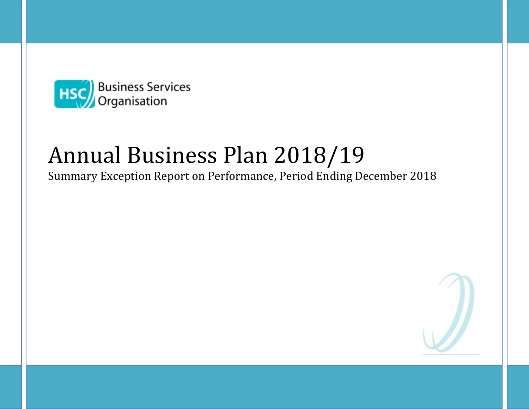

# Annual Business Plan 2018/19

Summary Exception Report on Performance, Period Ending December 2018

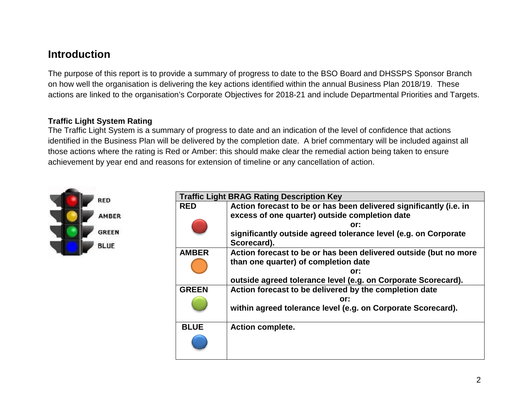### **Introduction**

The purpose of this report is to provide a summary of progress to date to the BSO Board and DHSSPS Sponsor Branch on how well the organisation is delivering the key actions identified within the annual Business Plan 2018/19. These actions are linked to the organisation's Corporate Objectives for 2018-21 and include Departmental Priorities and Targets.

#### **Traffic Light System Rating**

The Traffic Light System is a summary of progress to date and an indication of the level of confidence that actions identified in the Business Plan will be delivered by the completion date. A brief commentary will be included against all those actions where the rating is Red or Amber: this should make clear the remedial action being taken to ensure achievement by year end and reasons for extension of timeline or any cancellation of action.



| <b>Traffic Light BRAG Rating Description Key</b> |                                                                    |  |  |
|--------------------------------------------------|--------------------------------------------------------------------|--|--|
| <b>RED</b>                                       | Action forecast to be or has been delivered significantly (i.e. in |  |  |
|                                                  | excess of one quarter) outside completion date                     |  |  |
|                                                  | or:                                                                |  |  |
|                                                  | significantly outside agreed tolerance level (e.g. on Corporate    |  |  |
|                                                  | Scorecard).                                                        |  |  |
| <b>AMBER</b>                                     | Action forecast to be or has been delivered outside (but no more   |  |  |
|                                                  | than one quarter) of completion date                               |  |  |
|                                                  | or:                                                                |  |  |
|                                                  | outside agreed tolerance level (e.g. on Corporate Scorecard).      |  |  |
| <b>GREEN</b>                                     | Action forecast to be delivered by the completion date             |  |  |
|                                                  | or:                                                                |  |  |
|                                                  | within agreed tolerance level (e.g. on Corporate Scorecard).       |  |  |
|                                                  |                                                                    |  |  |
| <b>BLUE</b>                                      | <b>Action complete.</b>                                            |  |  |
|                                                  |                                                                    |  |  |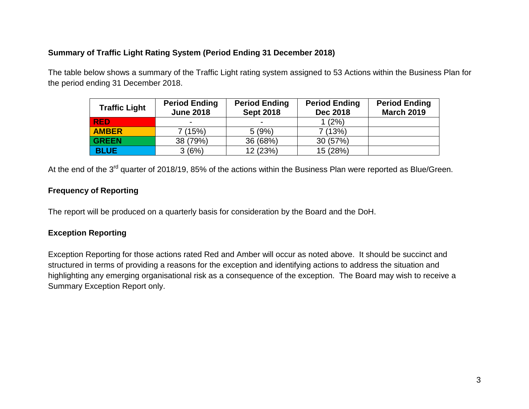#### **Summary of Traffic Light Rating System (Period Ending 31 December 2018)**

The table below shows a summary of the Traffic Light rating system assigned to 53 Actions within the Business Plan for the period ending 31 December 2018.

| <b>Traffic Light</b> | <b>Period Ending</b><br><b>June 2018</b> | <b>Period Ending</b><br><b>Sept 2018</b> | <b>Period Ending</b><br><b>Dec 2018</b> | <b>Period Ending</b><br><b>March 2019</b> |
|----------------------|------------------------------------------|------------------------------------------|-----------------------------------------|-------------------------------------------|
| <b>RED</b>           | $\overline{\phantom{a}}$                 | $\overline{\phantom{0}}$                 | $1(2\%)$                                |                                           |
| <b>AMBER</b>         | 7(15%)                                   | 5(9%)                                    | 7(13%)                                  |                                           |
| <b>GREEN</b>         | 38 (79%)                                 | 36 (68%)                                 | 30(57%)                                 |                                           |
| <b>BLUE</b>          | 3(6%)                                    | 12 (23%)                                 | 15 (28%)                                |                                           |

At the end of the 3<sup>rd</sup> quarter of 2018/19, 85% of the actions within the Business Plan were reported as Blue/Green.

#### **Frequency of Reporting**

The report will be produced on a quarterly basis for consideration by the Board and the DoH.

#### **Exception Reporting**

Exception Reporting for those actions rated Red and Amber will occur as noted above. It should be succinct and structured in terms of providing a reasons for the exception and identifying actions to address the situation and highlighting any emerging organisational risk as a consequence of the exception. The Board may wish to receive a Summary Exception Report only.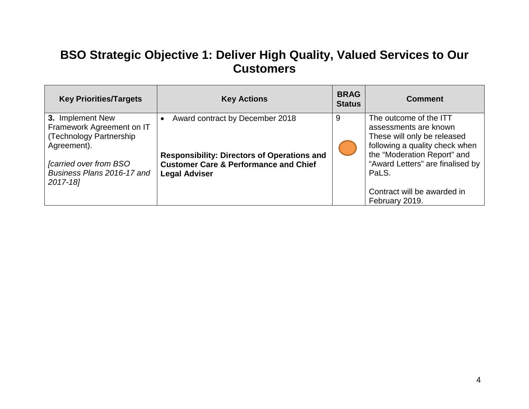## **BSO Strategic Objective 1: Deliver High Quality, Valued Services to Our Customers**

| <b>Key Priorities/Targets</b>                                                                                                                                     | <b>Key Actions</b>                                                                                                                                                | <b>BRAG</b><br><b>Status</b> | <b>Comment</b>                                                                                                                                                                               |
|-------------------------------------------------------------------------------------------------------------------------------------------------------------------|-------------------------------------------------------------------------------------------------------------------------------------------------------------------|------------------------------|----------------------------------------------------------------------------------------------------------------------------------------------------------------------------------------------|
| 3. Implement New<br>Framework Agreement on IT<br>(Technology Partnership<br>Agreement).<br><i>carried over from BSO</i><br>Business Plans 2016-17 and<br>2017-18] | Award contract by December 2018<br><b>Responsibility: Directors of Operations and</b><br><b>Customer Care &amp; Performance and Chief</b><br><b>Legal Adviser</b> | 9                            | The outcome of the ITT<br>assessments are known<br>These will only be released<br>following a quality check when<br>the "Moderation Report" and<br>"Award Letters" are finalised by<br>PaLS. |
|                                                                                                                                                                   |                                                                                                                                                                   |                              | Contract will be awarded in<br>February 2019.                                                                                                                                                |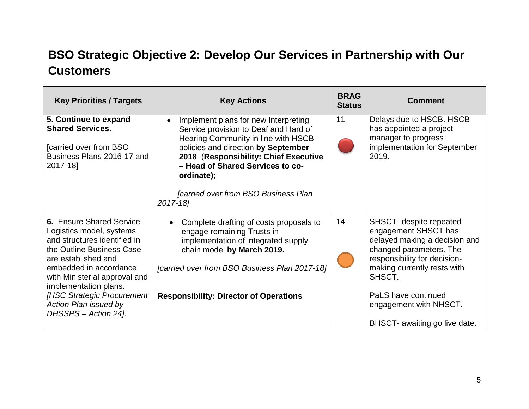## **BSO Strategic Objective 2: Develop Our Services in Partnership with Our Customers**

| <b>Key Priorities / Targets</b>                                                                                                                                                                                                                                                                                           | <b>Key Actions</b>                                                                                                                                                                                                                                                                                                            | <b>BRAG</b><br><b>Status</b> | <b>Comment</b>                                                                                                                                                                                                                                                         |
|---------------------------------------------------------------------------------------------------------------------------------------------------------------------------------------------------------------------------------------------------------------------------------------------------------------------------|-------------------------------------------------------------------------------------------------------------------------------------------------------------------------------------------------------------------------------------------------------------------------------------------------------------------------------|------------------------------|------------------------------------------------------------------------------------------------------------------------------------------------------------------------------------------------------------------------------------------------------------------------|
| 5. Continue to expand<br><b>Shared Services.</b><br><b>Carried over from BSO</b><br>Business Plans 2016-17 and<br>2017-18]                                                                                                                                                                                                | Implement plans for new Interpreting<br>$\bullet$<br>Service provision to Deaf and Hard of<br>Hearing Community in line with HSCB<br>policies and direction by September<br>2018 (Responsibility: Chief Executive<br>- Head of Shared Services to co-<br>ordinate);<br><b>Carried over from BSO Business Plan</b><br>2017-18] | 11                           | Delays due to HSCB. HSCB<br>has appointed a project<br>manager to progress<br>implementation for September<br>2019.                                                                                                                                                    |
| <b>6. Ensure Shared Service</b><br>Logistics model, systems<br>and structures identified in<br>the Outline Business Case<br>are established and<br>embedded in accordance<br>with Ministerial approval and<br>implementation plans.<br><b>IHSC Strategic Procurement</b><br>Action Plan issued by<br>DHSSPS - Action 24]. | Complete drafting of costs proposals to<br>engage remaining Trusts in<br>implementation of integrated supply<br>chain model by March 2019.<br>[carried over from BSO Business Plan 2017-18]<br><b>Responsibility: Director of Operations</b>                                                                                  | 14                           | SHSCT- despite repeated<br>engagement SHSCT has<br>delayed making a decision and<br>changed parameters. The<br>responsibility for decision-<br>making currently rests with<br>SHSCT.<br>PaLS have continued<br>engagement with NHSCT.<br>BHSCT- awaiting go live date. |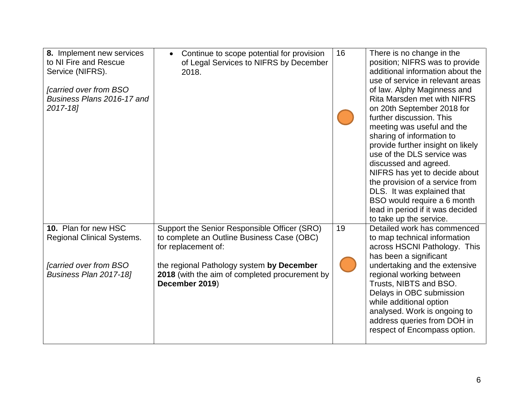| 8. Implement new services<br>to NI Fire and Rescue<br>Service (NIFRS).                                        | Continue to scope potential for provision<br>of Legal Services to NIFRS by December<br>2018.                                                                                                                                       | 16 | There is no change in the<br>position; NIFRS was to provide<br>additional information about the<br>use of service in relevant areas                                                                                                                                                                                                                                                                                                                                                |
|---------------------------------------------------------------------------------------------------------------|------------------------------------------------------------------------------------------------------------------------------------------------------------------------------------------------------------------------------------|----|------------------------------------------------------------------------------------------------------------------------------------------------------------------------------------------------------------------------------------------------------------------------------------------------------------------------------------------------------------------------------------------------------------------------------------------------------------------------------------|
| [carried over from BSO<br>Business Plans 2016-17 and<br>2017-18]                                              |                                                                                                                                                                                                                                    |    | of law. Alphy Maginness and<br><b>Rita Marsden met with NIFRS</b><br>on 20th September 2018 for<br>further discussion. This<br>meeting was useful and the<br>sharing of information to<br>provide further insight on likely<br>use of the DLS service was<br>discussed and agreed.<br>NIFRS has yet to decide about<br>the provision of a service from<br>DLS. It was explained that<br>BSO would require a 6 month<br>lead in period if it was decided<br>to take up the service. |
| 10. Plan for new HSC<br><b>Regional Clinical Systems.</b><br>[carried over from BSO<br>Business Plan 2017-18] | Support the Senior Responsible Officer (SRO)<br>to complete an Outline Business Case (OBC)<br>for replacement of:<br>the regional Pathology system by December<br>2018 (with the aim of completed procurement by<br>December 2019) | 19 | Detailed work has commenced<br>to map technical information<br>across HSCNI Pathology. This<br>has been a significant<br>undertaking and the extensive<br>regional working between<br>Trusts, NIBTS and BSO.<br>Delays in OBC submission<br>while additional option<br>analysed. Work is ongoing to<br>address queries from DOH in                                                                                                                                                 |
|                                                                                                               |                                                                                                                                                                                                                                    |    | respect of Encompass option.                                                                                                                                                                                                                                                                                                                                                                                                                                                       |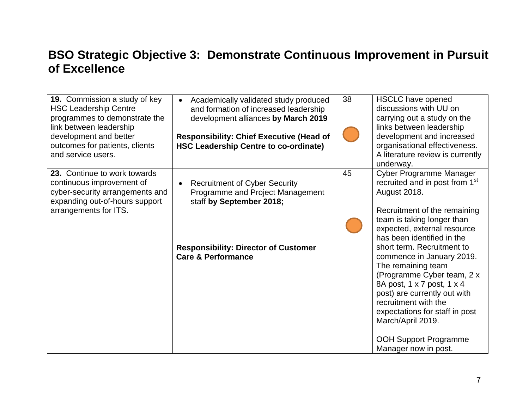## **BSO Strategic Objective 3: Demonstrate Continuous Improvement in Pursuit of Excellence**

| <b>19.</b> Commission a study of key<br><b>HSC Leadership Centre</b><br>programmes to demonstrate the<br>link between leadership<br>development and better<br>outcomes for patients, clients<br>and service users. | Academically validated study produced<br>and formation of increased leadership<br>development alliances by March 2019<br><b>Responsibility: Chief Executive (Head of</b><br><b>HSC Leadership Centre to co-ordinate)</b> | 38 | <b>HSCLC</b> have opened<br>discussions with UU on<br>carrying out a study on the<br>links between leadership<br>development and increased<br>organisational effectiveness.<br>A literature review is currently<br>underway.                                                                                                                                                                                                                                                                                                         |
|--------------------------------------------------------------------------------------------------------------------------------------------------------------------------------------------------------------------|--------------------------------------------------------------------------------------------------------------------------------------------------------------------------------------------------------------------------|----|--------------------------------------------------------------------------------------------------------------------------------------------------------------------------------------------------------------------------------------------------------------------------------------------------------------------------------------------------------------------------------------------------------------------------------------------------------------------------------------------------------------------------------------|
| 23. Continue to work towards<br>continuous improvement of<br>cyber-security arrangements and<br>expanding out-of-hours support<br>arrangements for ITS.                                                            | <b>Recruitment of Cyber Security</b><br>Programme and Project Management<br>staff by September 2018;<br><b>Responsibility: Director of Customer</b><br><b>Care &amp; Performance</b>                                     | 45 | Cyber Programme Manager<br>recruited and in post from 1 <sup>st</sup><br>August 2018.<br>Recruitment of the remaining<br>team is taking longer than<br>expected, external resource<br>has been identified in the<br>short term. Recruitment to<br>commence in January 2019.<br>The remaining team<br>(Programme Cyber team, 2 x<br>8A post, 1 x 7 post, 1 x 4<br>post) are currently out with<br>recruitment with the<br>expectations for staff in post<br>March/April 2019.<br><b>OOH Support Programme</b><br>Manager now in post. |